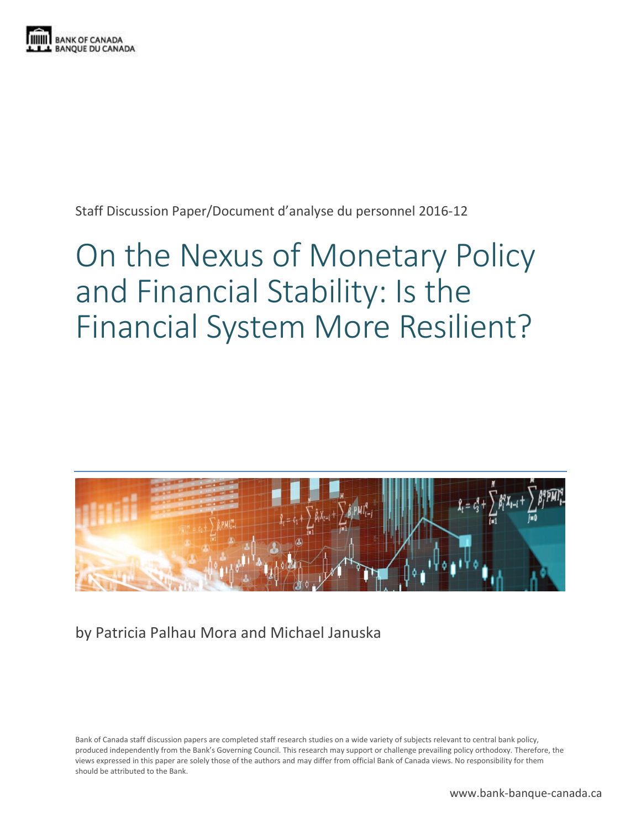

Staff Discussion Paper/Document d'analyse du personnel 2016-12

# On the Nexus of Monetary Policy and Financial Stability: Is the Financial System More Resilient?



by Patricia Palhau Mora and Michael Januska

Bank of Canada staff discussion papers are completed staff research studies on a wide variety of subjects relevant to central bank policy, produced independently from the Bank's Governing Council. This research may support or challenge prevailing policy orthodoxy. Therefore, the views expressed in this paper are solely those of the authors and may differ from official Bank of Canada views. No responsibility for them should be attributed to the Bank.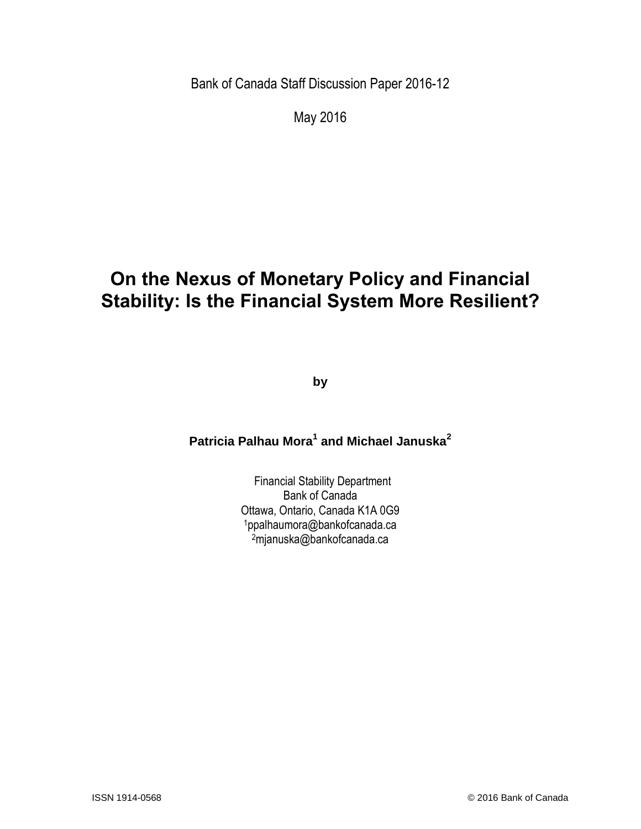Bank of Canada Staff Discussion Paper 2016-12

May 2016

# **On the Nexus of Monetary Policy and Financial Stability: Is the Financial System More Resilient?**

**by**

### **Patricia Palhau Mora<sup>1</sup> and Michael Januska<sup>2</sup>**

Financial Stability Department Bank of Canada Ottawa, Ontario, Canada K1A 0G9 <sup>1</sup>ppalhaumora@bankofcanada.ca <sup>2</sup>mjanuska@bankofcanada.ca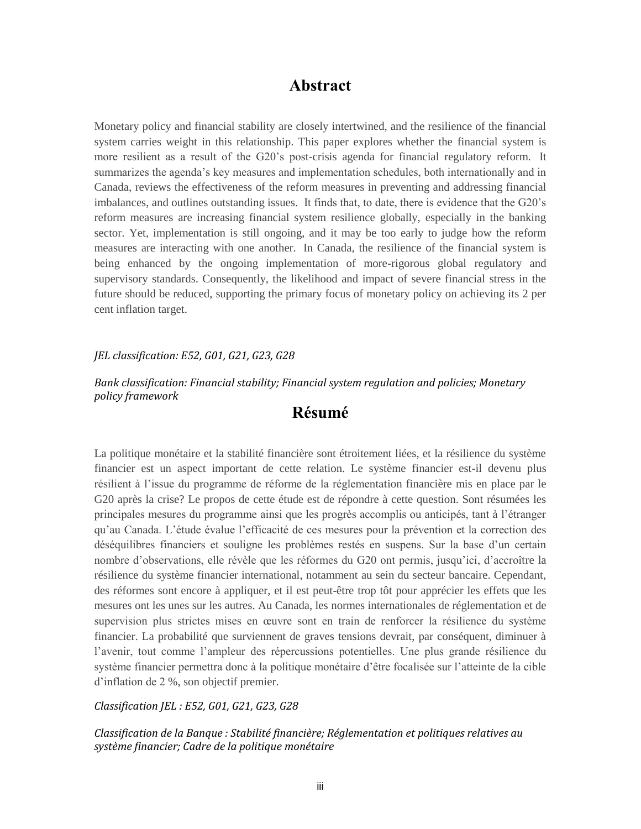#### **Abstract**

Monetary policy and financial stability are closely intertwined, and the resilience of the financial system carries weight in this relationship. This paper explores whether the financial system is more resilient as a result of the G20's post-crisis agenda for financial regulatory reform. It summarizes the agenda's key measures and implementation schedules, both internationally and in Canada, reviews the effectiveness of the reform measures in preventing and addressing financial imbalances, and outlines outstanding issues. It finds that, to date, there is evidence that the G20's reform measures are increasing financial system resilience globally, especially in the banking sector. Yet, implementation is still ongoing, and it may be too early to judge how the reform measures are interacting with one another. In Canada, the resilience of the financial system is being enhanced by the ongoing implementation of more-rigorous global regulatory and supervisory standards. Consequently, the likelihood and impact of severe financial stress in the future should be reduced, supporting the primary focus of monetary policy on achieving its 2 per cent inflation target.

#### *JEL classification: E52, G01, G21, G23, G28*

#### *Bank classification: Financial stability; Financial system regulation and policies; Monetary policy framework*

#### **Résumé**

La politique monétaire et la stabilité financière sont étroitement liées, et la résilience du système financier est un aspect important de cette relation. Le système financier est-il devenu plus résilient à l'issue du programme de réforme de la réglementation financière mis en place par le G20 après la crise? Le propos de cette étude est de répondre à cette question. Sont résumées les principales mesures du programme ainsi que les progrès accomplis ou anticipés, tant à l'étranger qu'au Canada. L'étude évalue l'efficacité de ces mesures pour la prévention et la correction des déséquilibres financiers et souligne les problèmes restés en suspens. Sur la base d'un certain nombre d'observations, elle révèle que les réformes du G20 ont permis, jusqu'ici, d'accroître la résilience du système financier international, notamment au sein du secteur bancaire. Cependant, des réformes sont encore à appliquer, et il est peut-être trop tôt pour apprécier les effets que les mesures ont les unes sur les autres. Au Canada, les normes internationales de réglementation et de supervision plus strictes mises en œuvre sont en train de renforcer la résilience du système financier. La probabilité que surviennent de graves tensions devrait, par conséquent, diminuer à l'avenir, tout comme l'ampleur des répercussions potentielles. Une plus grande résilience du système financier permettra donc à la politique monétaire d'être focalisée sur l'atteinte de la cible d'inflation de 2 %, son objectif premier.

*Classification JEL : E52, G01, G21, G23, G28* 

*Classification de la Banque : Stabilité financière; Réglementation et politiques relatives au système financier; Cadre de la politique monétaire*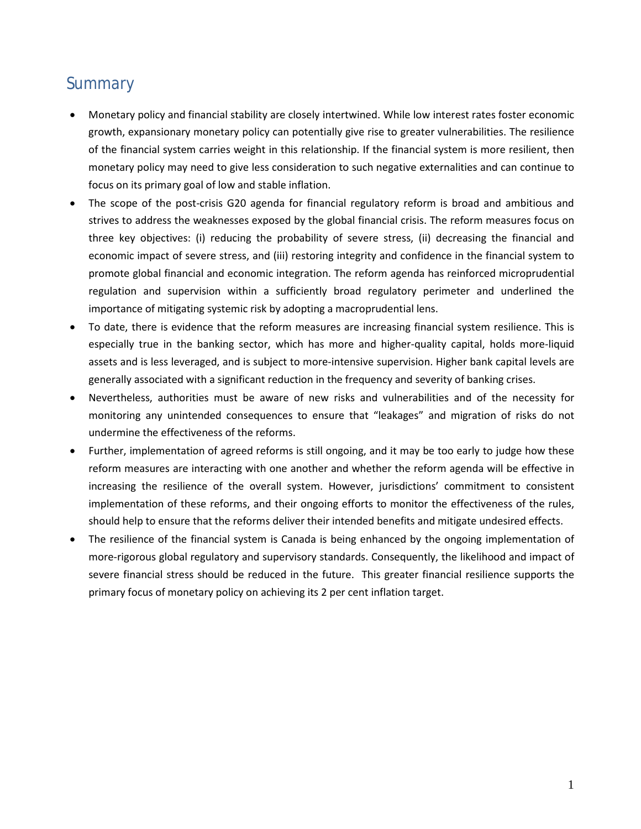### **Summary**

- Monetary policy and financial stability are closely intertwined. While low interest rates foster economic growth, expansionary monetary policy can potentially give rise to greater vulnerabilities. The resilience of the financial system carries weight in this relationship. If the financial system is more resilient, then monetary policy may need to give less consideration to such negative externalities and can continue to focus on its primary goal of low and stable inflation.
- The scope of the post-crisis G20 agenda for financial regulatory reform is broad and ambitious and strives to address the weaknesses exposed by the global financial crisis. The reform measures focus on three key objectives: (i) reducing the probability of severe stress, (ii) decreasing the financial and economic impact of severe stress, and (iii) restoring integrity and confidence in the financial system to promote global financial and economic integration. The reform agenda has reinforced microprudential regulation and supervision within a sufficiently broad regulatory perimeter and underlined the importance of mitigating systemic risk by adopting a macroprudential lens.
- To date, there is evidence that the reform measures are increasing financial system resilience. This is especially true in the banking sector, which has more and higher-quality capital, holds more-liquid assets and is less leveraged, and is subject to more-intensive supervision. Higher bank capital levels are generally associated with a significant reduction in the frequency and severity of banking crises.
- Nevertheless, authorities must be aware of new risks and vulnerabilities and of the necessity for monitoring any unintended consequences to ensure that "leakages" and migration of risks do not undermine the effectiveness of the reforms.
- Further, implementation of agreed reforms is still ongoing, and it may be too early to judge how these reform measures are interacting with one another and whether the reform agenda will be effective in increasing the resilience of the overall system. However, jurisdictions' commitment to consistent implementation of these reforms, and their ongoing efforts to monitor the effectiveness of the rules, should help to ensure that the reforms deliver their intended benefits and mitigate undesired effects.
- The resilience of the financial system is Canada is being enhanced by the ongoing implementation of more-rigorous global regulatory and supervisory standards. Consequently, the likelihood and impact of severe financial stress should be reduced in the future. This greater financial resilience supports the primary focus of monetary policy on achieving its 2 per cent inflation target.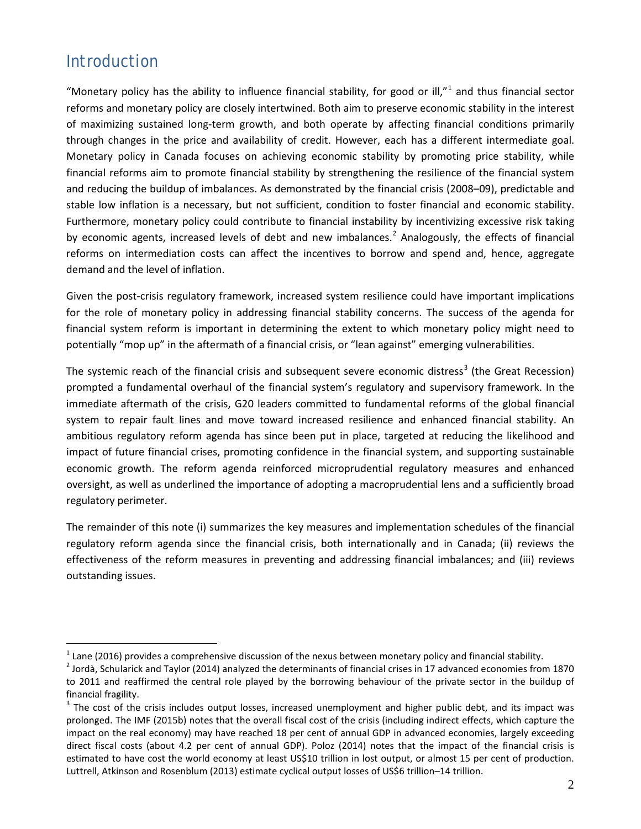### Introduction

"Monetary policy has the ability to influence financial stability, for good or ill," $1$  and thus financial sector reforms and monetary policy are closely intertwined. Both aim to preserve economic stability in the interest of maximizing sustained long-term growth, and both operate by affecting financial conditions primarily through changes in the price and availability of credit. However, each has a different intermediate goal. Monetary policy in Canada focuses on achieving economic stability by promoting price stability, while financial reforms aim to promote financial stability by strengthening the resilience of the financial system and reducing the buildup of imbalances. As demonstrated by the financial crisis (2008–09), predictable and stable low inflation is a necessary, but not sufficient, condition to foster financial and economic stability. Furthermore, monetary policy could contribute to financial instability by incentivizing excessive risk taking by economic agents, increased levels of debt and new imbalances.<sup>[2](#page-4-1)</sup> Analogously, the effects of financial reforms on intermediation costs can affect the incentives to borrow and spend and, hence, aggregate demand and the level of inflation.

Given the post-crisis regulatory framework, increased system resilience could have important implications for the role of monetary policy in addressing financial stability concerns. The success of the agenda for financial system reform is important in determining the extent to which monetary policy might need to potentially "mop up" in the aftermath of a financial crisis, or "lean against" emerging vulnerabilities.

The systemic reach of the financial crisis and subsequent severe economic distress<sup>[3](#page-4-2)</sup> (the Great Recession) prompted a fundamental overhaul of the financial system's regulatory and supervisory framework. In the immediate aftermath of the crisis, G20 leaders committed to fundamental reforms of the global financial system to repair fault lines and move toward increased resilience and enhanced financial stability. An ambitious regulatory reform agenda has since been put in place, targeted at reducing the likelihood and impact of future financial crises, promoting confidence in the financial system, and supporting sustainable economic growth. The reform agenda reinforced microprudential regulatory measures and enhanced oversight, as well as underlined the importance of adopting a macroprudential lens and a sufficiently broad regulatory perimeter.

The remainder of this note (i) summarizes the key measures and implementation schedules of the financial regulatory reform agenda since the financial crisis, both internationally and in Canada; (ii) reviews the effectiveness of the reform measures in preventing and addressing financial imbalances; and (iii) reviews outstanding issues.

<span id="page-4-1"></span><span id="page-4-0"></span><sup>&</sup>lt;sup>1</sup> Lane (2016) provides a comprehensive discussion of the nexus between monetary policy and financial stability.<br><sup>2</sup> Jordà, Schularick and Taylor (2014) analyzed the determinants of financial crises in 17 advanced econom to 2011 and reaffirmed the central role played by the borrowing behaviour of the private sector in the buildup of financial fragility.

<span id="page-4-2"></span> $3$  The cost of the crisis includes output losses, increased unemployment and higher public debt, and its impact was prolonged. The IMF (2015b) notes that the overall fiscal cost of the crisis (including indirect effects, which capture the impact on the real economy) may have reached 18 per cent of annual GDP in advanced economies, largely exceeding direct fiscal costs (about 4.2 per cent of annual GDP). Poloz (2014) notes that the impact of the financial crisis is estimated to have cost the world economy at least US\$10 trillion in lost output, or almost 15 per cent of production. Luttrell, Atkinson and Rosenblum (2013) estimate cyclical output losses of US\$6 trillion–14 trillion.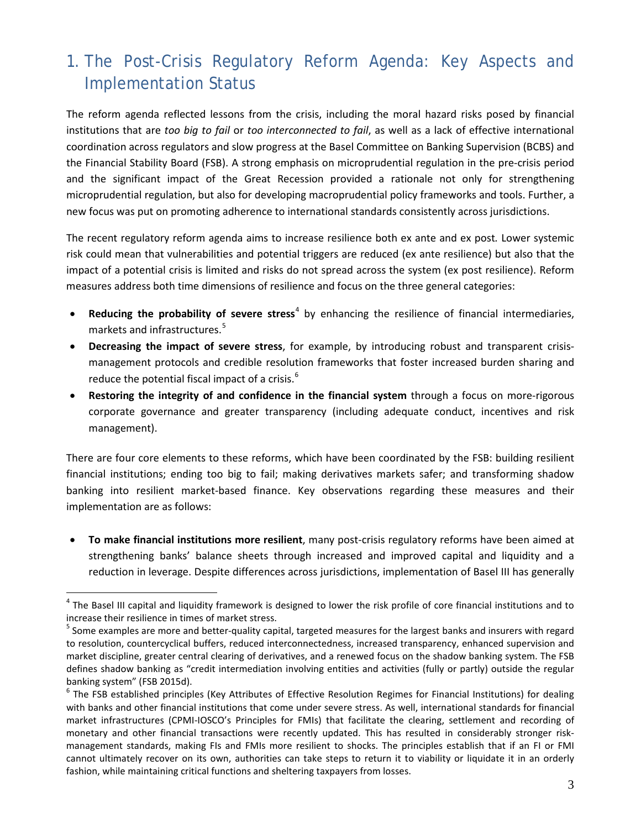## 1. The Post-Crisis Regulatory Reform Agenda: Key Aspects and Implementation Status

The reform agenda reflected lessons from the crisis, including the moral hazard risks posed by financial institutions that are *too big to fail* or *too interconnected to fail*, as well as a lack of effective international coordination across regulators and slow progress at the Basel Committee on Banking Supervision (BCBS) and the Financial Stability Board (FSB). A strong emphasis on microprudential regulation in the pre-crisis period and the significant impact of the Great Recession provided a rationale not only for strengthening microprudential regulation, but also for developing macroprudential policy frameworks and tools. Further, a new focus was put on promoting adherence to international standards consistently across jurisdictions.

The recent regulatory reform agenda aims to increase resilience both ex ante and ex post*.* Lower systemic risk could mean that vulnerabilities and potential triggers are reduced (ex ante resilience) but also that the impact of a potential crisis is limited and risks do not spread across the system (ex post resilience). Reform measures address both time dimensions of resilience and focus on the three general categories:

- **Reducing the probability of severe stress**<sup>[4](#page-5-0)</sup> by enhancing the resilience of financial intermediaries, markets and infrastructures. [5](#page-5-1)
- **Decreasing the impact of severe stress**, for example, by introducing robust and transparent crisismanagement protocols and credible resolution frameworks that foster increased burden sharing and reduce the potential fiscal impact of a crisis.<sup>[6](#page-5-2)</sup>
- **Restoring the integrity of and confidence in the financial system** through a focus on more-rigorous corporate governance and greater transparency (including adequate conduct, incentives and risk management).

There are four core elements to these reforms, which have been coordinated by the FSB: building resilient financial institutions; ending too big to fail; making derivatives markets safer; and transforming shadow banking into resilient market-based finance. Key observations regarding these measures and their implementation are as follows:

• **To make financial institutions more resilient**, many post-crisis regulatory reforms have been aimed at strengthening banks' balance sheets through increased and improved capital and liquidity and a reduction in leverage. Despite differences across jurisdictions, implementation of Basel III has generally

<span id="page-5-0"></span> $4$  The Basel III capital and liquidity framework is designed to lower the risk profile of core financial institutions and to increase their resilience in times of market stress.<br><sup>5</sup> Some examples are more and better-quality capital, targeted measures for the largest banks and insurers with regard

<span id="page-5-1"></span>to resolution, countercyclical buffers, reduced interconnectedness, increased transparency, enhanced supervision and market discipline, greater central clearing of derivatives, and a renewed focus on the shadow banking system. The FSB defines shadow banking as "credit intermediation involving entities and activities (fully or partly) outside the regular banking system" (FSB 2015d).<br><sup>6</sup> The FSB established principles (Key Attributes of Effective Resolution Regimes for Financial Institutions) for dealing

<span id="page-5-2"></span>with banks and other financial institutions that come under severe stress. As well, international standards for financial market infrastructures (CPMI-IOSCO's Principles for FMIs) that facilitate the clearing, settlement and recording of monetary and other financial transactions were recently updated. This has resulted in considerably stronger riskmanagement standards, making FIs and FMIs more resilient to shocks. The principles establish that if an FI or FMI cannot ultimately recover on its own, authorities can take steps to return it to viability or liquidate it in an orderly fashion, while maintaining critical functions and sheltering taxpayers from losses.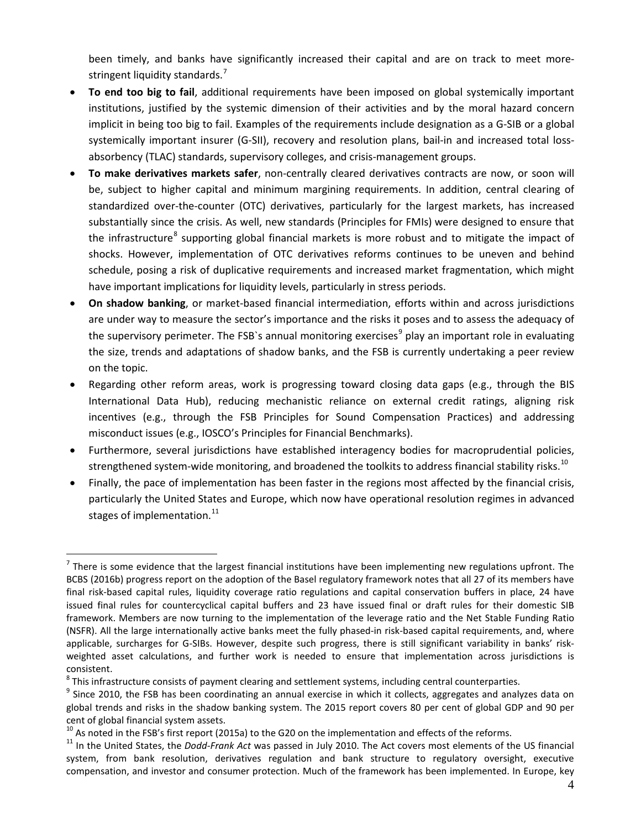been timely, and banks have significantly increased their capital and are on track to meet more-stringent liquidity standards.<sup>[7](#page-6-0)</sup>

- **To end too big to fail**, additional requirements have been imposed on global systemically important institutions, justified by the systemic dimension of their activities and by the moral hazard concern implicit in being too big to fail. Examples of the requirements include designation as a G-SIB or a global systemically important insurer (G-SII), recovery and resolution plans, bail-in and increased total lossabsorbency (TLAC) standards, supervisory colleges, and crisis-management groups.
- **To make derivatives markets safer**, non-centrally cleared derivatives contracts are now, or soon will be, subject to higher capital and minimum margining requirements. In addition, central clearing of standardized over-the-counter (OTC) derivatives, particularly for the largest markets, has increased substantially since the crisis. As well, new standards (Principles for FMIs) were designed to ensure that the infrastructure<sup>[8](#page-6-1)</sup> supporting global financial markets is more robust and to mitigate the impact of shocks. However, implementation of OTC derivatives reforms continues to be uneven and behind schedule, posing a risk of duplicative requirements and increased market fragmentation, which might have important implications for liquidity levels, particularly in stress periods.
- **On shadow banking**, or market-based financial intermediation, efforts within and across jurisdictions are under way to measure the sector's importance and the risks it poses and to assess the adequacy of the supervisory perimeter. The FSB`s annual monitoring exercises<sup>[9](#page-6-2)</sup> play an important role in evaluating the size, trends and adaptations of shadow banks, and the FSB is currently undertaking a peer review on the topic.
- Regarding other reform areas, work is progressing toward closing data gaps (e.g., through the BIS International Data Hub), reducing mechanistic reliance on external credit ratings, aligning risk incentives (e.g., through the FSB Principles for Sound Compensation Practices) and addressing misconduct issues (e.g., IOSCO's Principles for Financial Benchmarks).
- Furthermore, several jurisdictions have established interagency bodies for macroprudential policies, strengthened system-wide monitoring, and broadened the toolkits to address financial stability risks.<sup>[10](#page-6-3)</sup>
- Finally, the pace of implementation has been faster in the regions most affected by the financial crisis, particularly the United States and Europe, which now have operational resolution regimes in advanced stages of implementation. $^{11}$  $^{11}$  $^{11}$

<span id="page-6-0"></span> $<sup>7</sup>$  There is some evidence that the largest financial institutions have been implementing new regulations upfront. The</sup> BCBS (2016b) progress report on the adoption of the Basel regulatory framework notes that all 27 of its members have final risk-based capital rules, liquidity coverage ratio regulations and capital conservation buffers in place, 24 have issued final rules for countercyclical capital buffers and 23 have issued final or draft rules for their domestic SIB framework. Members are now turning to the implementation of the leverage ratio and the Net Stable Funding Ratio (NSFR). All the large internationally active banks meet the fully phased-in risk-based capital requirements, and, where applicable, surcharges for G-SIBs. However, despite such progress, there is still significant variability in banks' riskweighted asset calculations, and further work is needed to ensure that implementation across jurisdictions is consistent.

<span id="page-6-1"></span> $8$  This infrastructure consists of payment clearing and settlement systems, including central counterparties.

<span id="page-6-2"></span> $9$  Since 2010, the FSB has been coordinating an annual exercise in which it collects, aggregates and analyzes data on global trends and risks in the shadow banking system. The 2015 report covers 80 per cent of global GDP and 90 per cent of global financial system assets.<br><sup>10</sup> As noted in the FSB's first report (2015a) to the G20 on the implementation and effects of the reforms.<br><sup>11</sup> In the United States, the *Dodd-Frank Act* was passed in July 2010.

<span id="page-6-3"></span>

<span id="page-6-4"></span>system, from bank resolution, derivatives regulation and bank structure to regulatory oversight, executive compensation, and investor and consumer protection. Much of the framework has been implemented. In Europe, key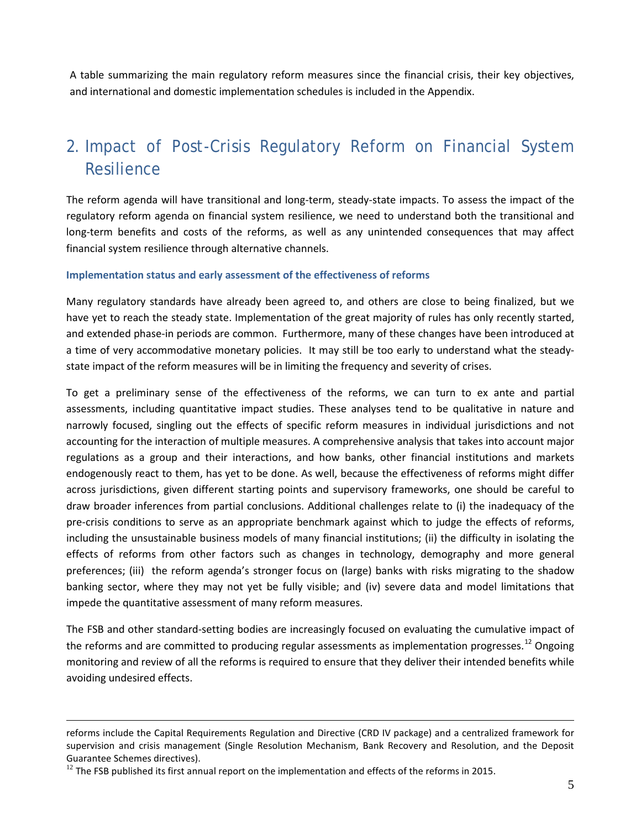A table summarizing the main regulatory reform measures since the financial crisis, their key objectives, and international and domestic implementation schedules is included in the Appendix.

# 2. Impact of Post-Crisis Regulatory Reform on Financial System **Resilience**

The reform agenda will have transitional and long-term, steady-state impacts. To assess the impact of the regulatory reform agenda on financial system resilience, we need to understand both the transitional and long-term benefits and costs of the reforms, as well as any unintended consequences that may affect financial system resilience through alternative channels.

#### **Implementation status and early assessment of the effectiveness of reforms**

Many regulatory standards have already been agreed to, and others are close to being finalized, but we have yet to reach the steady state. Implementation of the great majority of rules has only recently started, and extended phase-in periods are common. Furthermore, many of these changes have been introduced at a time of very accommodative monetary policies. It may still be too early to understand what the steadystate impact of the reform measures will be in limiting the frequency and severity of crises.

To get a preliminary sense of the effectiveness of the reforms, we can turn to ex ante and partial assessments, including quantitative impact studies. These analyses tend to be qualitative in nature and narrowly focused, singling out the effects of specific reform measures in individual jurisdictions and not accounting for the interaction of multiple measures. A comprehensive analysis that takes into account major regulations as a group and their interactions, and how banks, other financial institutions and markets endogenously react to them, has yet to be done. As well, because the effectiveness of reforms might differ across jurisdictions, given different starting points and supervisory frameworks, one should be careful to draw broader inferences from partial conclusions. Additional challenges relate to (i) the inadequacy of the pre-crisis conditions to serve as an appropriate benchmark against which to judge the effects of reforms, including the unsustainable business models of many financial institutions; (ii) the difficulty in isolating the effects of reforms from other factors such as changes in technology, demography and more general preferences; (iii) the reform agenda's stronger focus on (large) banks with risks migrating to the shadow banking sector, where they may not yet be fully visible; and (iv) severe data and model limitations that impede the quantitative assessment of many reform measures.

The FSB and other standard-setting bodies are increasingly focused on evaluating the cumulative impact of the reforms and are committed to producing regular assessments as implementation progresses.<sup>[12](#page-7-0)</sup> Ongoing monitoring and review of all the reforms is required to ensure that they deliver their intended benefits while avoiding undesired effects.

-

reforms include the Capital Requirements Regulation and Directive (CRD IV package) and a centralized framework for supervision and crisis management (Single Resolution Mechanism, Bank Recovery and Resolution, and the Deposit Guarantee Schemes directives).

<span id="page-7-0"></span> $12$  The FSB published its first annual report on the implementation and effects of the reforms in 2015.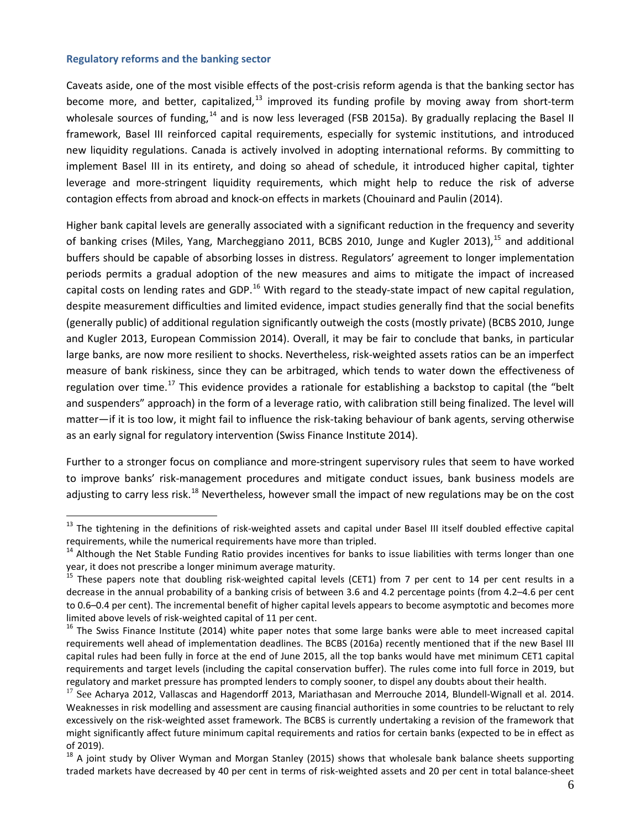#### **Regulatory reforms and the banking sector**

Caveats aside, one of the most visible effects of the post-crisis reform agenda is that the banking sector has become more, and better, capitalized, $^{13}$  $^{13}$  $^{13}$  improved its funding profile by moving away from short-term wholesale sources of funding,<sup>[14](#page-8-1)</sup> and is now less leveraged (FSB 2015a). By gradually replacing the Basel II framework, Basel III reinforced capital requirements, especially for systemic institutions, and introduced new liquidity regulations. Canada is actively involved in adopting international reforms. By committing to implement Basel III in its entirety, and doing so ahead of schedule, it introduced higher capital, tighter leverage and more-stringent liquidity requirements, which might help to reduce the risk of adverse contagion effects from abroad and knock-on effects in markets (Chouinard and Paulin (2014).

Higher bank capital levels are generally associated with a significant reduction in the frequency and severity of banking crises (Miles, Yang, Marcheggiano 2011, BCBS 2010, Junge and Kugler 2013),<sup>[15](#page-8-2)</sup> and additional buffers should be capable of absorbing losses in distress. Regulators' agreement to longer implementation periods permits a gradual adoption of the new measures and aims to mitigate the impact of increased capital costs on lending rates and GDP.<sup>[16](#page-8-3)</sup> With regard to the steady-state impact of new capital regulation, despite measurement difficulties and limited evidence, impact studies generally find that the social benefits (generally public) of additional regulation significantly outweigh the costs (mostly private) (BCBS 2010, Junge and Kugler 2013, European Commission 2014). Overall, it may be fair to conclude that banks, in particular large banks, are now more resilient to shocks. Nevertheless, risk-weighted assets ratios can be an imperfect measure of bank riskiness, since they can be arbitraged, which tends to water down the effectiveness of regulation over time.<sup>[17](#page-8-4)</sup> This evidence provides a rationale for establishing a backstop to capital (the "belt and suspenders" approach) in the form of a leverage ratio, with calibration still being finalized. The level will matter—if it is too low, it might fail to influence the risk-taking behaviour of bank agents, serving otherwise as an early signal for regulatory intervention (Swiss Finance Institute 2014).

Further to a stronger focus on compliance and more-stringent supervisory rules that seem to have worked to improve banks' risk-management procedures and mitigate conduct issues, bank business models are adjusting to carry less risk.<sup>[18](#page-8-5)</sup> Nevertheless, however small the impact of new regulations may be on the cost

<span id="page-8-0"></span><sup>&</sup>lt;sup>13</sup> The tightening in the definitions of risk-weighted assets and capital under Basel III itself doubled effective capital requirements, while the numerical requirements have more than tripled.

<span id="page-8-1"></span><sup>&</sup>lt;sup>14</sup> Although the Net Stable Funding Ratio provides incentives for banks to issue liabilities with terms longer than one year, it does not prescribe a longer minimum average maturity.

<span id="page-8-2"></span><sup>&</sup>lt;sup>15</sup> These papers note that doubling risk-weighted capital levels (CET1) from 7 per cent to 14 per cent results in a decrease in the annual probability of a banking crisis of between 3.6 and 4.2 percentage points (from 4.2–4.6 per cent to 0.6–0.4 per cent). The incremental benefit of higher capital levels appears to become asymptotic and becomes more limited above levels of risk-weighted capital of 11 per cent.<br><sup>16</sup> The Swiss Finance Institute (2014) white paper notes that some large banks were able to meet increased capital

<span id="page-8-3"></span>requirements well ahead of implementation deadlines. The BCBS [\(2016a\) recently mentioned](http://www.bis.org/bcbs/publ/d334.htm) that if the new Basel III capital rules had been fully in force at the end of June 2015, all the top banks would have met minimum CET1 capital requirements and target levels (including the capital conservation buffer). The rules come into full force in 2019, but regulatory and market pressure has prompted lenders to comply sooner, to dispel any doubts about their health.

<span id="page-8-4"></span> $17$  See Acharya 2012, Vallascas and Hagendorff 2013, Mariathasan and Merrouche 2014, Blundell-Wignall et al. 2014. Weaknesses in risk modelling and assessment are causing financial authorities in some countries to be reluctant to rely excessively on the risk-weighted asset framework. The BCBS is currently undertaking a revision of the framework that might significantly affect future minimum capital requirements and ratios for certain banks (expected to be in effect as of 2019).

<span id="page-8-5"></span> $18$  A joint study by Oliver Wyman and Morgan Stanley (2015) shows that wholesale bank balance sheets supporting traded markets have decreased by 40 per cent in terms of risk-weighted assets and 20 per cent in total balance-sheet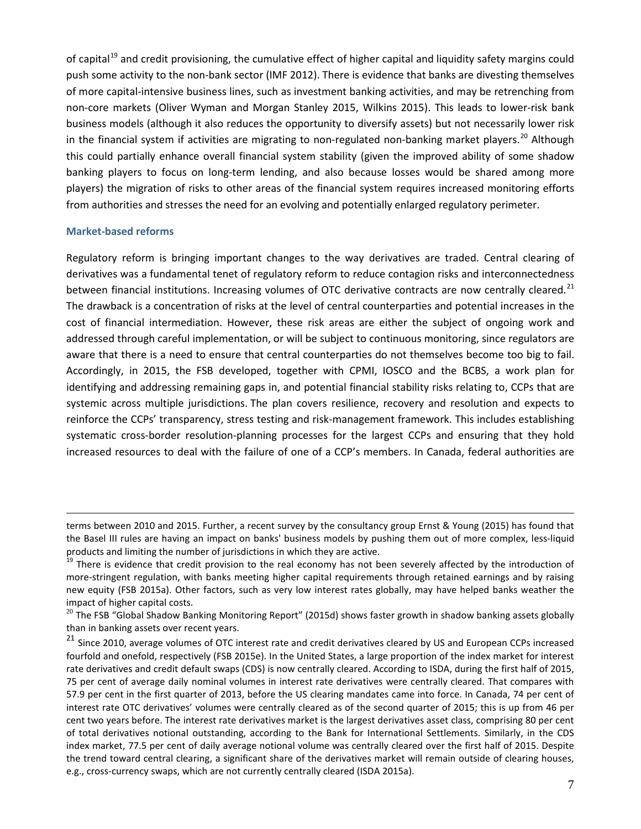of capital<sup>[19](#page-9-0)</sup> and credit provisioning, the cumulative effect of higher capital and liquidity safety margins could push some activity to the non-bank sector (IMF 2012). There is evidence that banks are divesting themselves of more capital-intensive business lines, such as investment banking activities, and may be retrenching from non-core markets (Oliver Wyman and Morgan Stanley 2015, Wilkins 2015). This leads to lower-risk bank business models (although it also reduces the opportunity to diversify assets) but not necessarily lower risk in the financial system if activities are migrating to non-regulated non-banking market players.<sup>[20](#page-9-1)</sup> Although this could partially enhance overall financial system stability (given the improved ability of some shadow banking players to focus on long-term lending, and also because losses would be shared among more players) the migration of risks to other areas of the financial system requires increased monitoring efforts from authorities and stresses the need for an evolving and potentially enlarged regulatory perimeter.

#### **Market-based reforms**

<u>.</u>

Regulatory reform is bringing important changes to the way derivatives are traded. Central clearing of derivatives was a fundamental tenet of regulatory reform to reduce contagion risks and interconnectedness between financial institutions. Increasing volumes of OTC derivative contracts are now centrally cleared.<sup>[21](#page-9-2)</sup> The drawback is a concentration of risks at the level of central counterparties and potential increases in the cost of financial intermediation. However, these risk areas are either the subject of ongoing work and addressed through careful implementation, or will be subject to continuous monitoring, since regulators are aware that there is a need to ensure that central counterparties do not themselves become too big to fail. Accordingly, in 2015, the FSB developed, together with CPMI, IOSCO and the BCBS, a work plan for identifying and addressing remaining gaps in, and potential financial stability risks relating to, CCPs that are systemic across multiple jurisdictions. The plan covers resilience, recovery and resolution and expects to reinforce the CCPs' transparency, stress testing and risk-management framework. This includes establishing systematic cross-border resolution-planning processes for the largest CCPs and ensuring that they hold increased resources to deal with the failure of one of a CCP's members. In Canada, federal authorities are

terms between 2010 and 2015. Further, [a recent survey by the consultancy](http://www.ey.com/Publication/vwLUAssets/EY-rethinking-risk-management/$FILE/EY-rethinking-risk-management.pdf) group Ernst & Young (2015) has found that the Basel III rules are having an impact on banks' business models by pushing them out of more complex, less-liquid products and limiting the number of jurisdictions in which they are active.<br><sup>19</sup> There is evidence that credit provision to the real economy has not been severely affected by the introduction of

<span id="page-9-0"></span>more-stringent regulation, with banks meeting higher capital requirements through retained earnings and by raising new equity (FSB 2015a). Other factors, such as very low interest rates globally, may have helped banks weather the impact of higher capital costs.

<span id="page-9-1"></span><sup>&</sup>lt;sup>20</sup> The FSB "Global Shadow Banking Monitoring Report" (2015d) shows faster growth in shadow banking assets globally than in banking assets over recent years.

<span id="page-9-2"></span> $21$  Since 2010, average volumes of OTC interest rate and credit derivatives cleared by US and European CCPs increased fourfold and onefold, respectively (FSB 2015e). In the United States, a large proportion of the index market for interest rate derivatives and credit default swaps (CDS) is now centrally cleared. According to ISDA, during the first half of 2015, 75 per cent of average daily nominal volumes in interest rate derivatives were centrally cleared. That compares with 57.9 per cent in the first quarter of 2013, before the US clearing mandates came into force. In Canada, 74 per cent of interest rate OTC derivatives' volumes were centrally cleared as of the second quarter of 2015; this is up from 46 per cent two years before. The interest rate derivatives market is the largest derivatives asset class, comprising 80 per cent of total derivatives notional outstanding, according to the Bank for International Settlements. Similarly, in the CDS index market, 77.5 per cent of daily average notional volume was centrally cleared over the first half of 2015. Despite the trend toward central clearing, a significant share of the derivatives market will remain outside of clearing houses, e.g., cross-currency swaps, which are not currently centrally cleared (ISDA 2015a).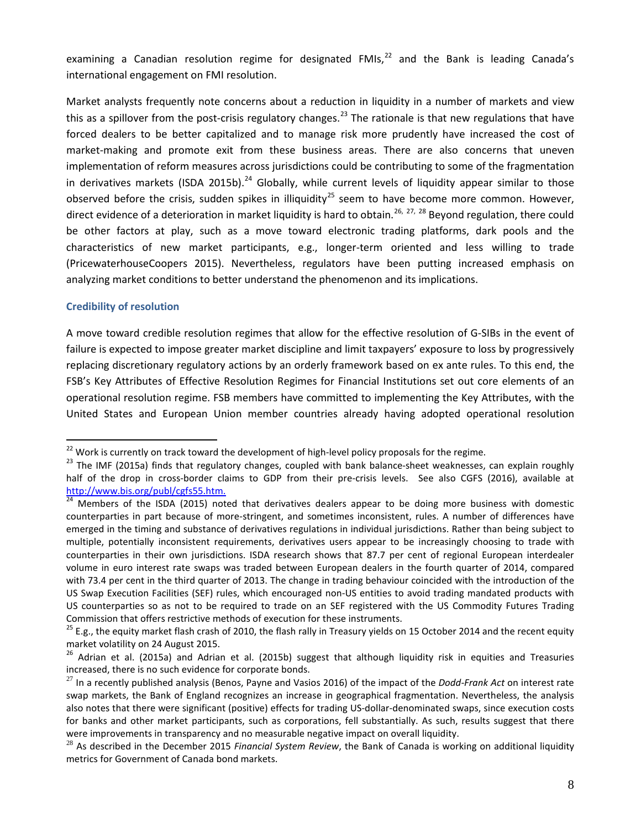examining a Canadian resolution regime for designated FMIs,<sup>[22](#page-10-0)</sup> and the Bank is leading Canada's international engagement on FMI resolution.

Market analysts frequently note concerns about a reduction in liquidity in a number of markets and view this as a spillover from the post-crisis regulatory changes.<sup>[23](#page-10-1)</sup> The rationale is that new regulations that have forced dealers to be better capitalized and to manage risk more prudently have increased the cost of market-making and promote exit from these business areas. There are also concerns that uneven implementation of reform measures across jurisdictions could be contributing to some of the fragmentation in derivatives markets (ISDA 2015b).<sup>[24](#page-10-2)</sup> Globally, while current levels of liquidity appear similar to those observed before the crisis, sudden spikes in illiquidity<sup>[25](#page-10-3)</sup> seem to have become more common. However, direct evidence of a deterioration in market liquidity is hard to obtain.<sup>[26,](#page-10-4) [27](#page-10-5), [28](#page-10-6)</sup> Beyond regulation, there could be other factors at play, such as a move toward electronic trading platforms, dark pools and the characteristics of new market participants, e.g., longer-term oriented and less willing to trade (PricewaterhouseCoopers 2015). Nevertheless, regulators have been putting increased emphasis on analyzing market conditions to better understand the phenomenon and its implications.

#### **Credibility of resolution**

A move toward credible resolution regimes that allow for the effective resolution of G-SIBs in the event of failure is expected to impose greater market discipline and limit taxpayers' exposure to loss by progressively replacing discretionary regulatory actions by an orderly framework based on ex ante rules. To this end, the FSB's Key Attributes of Effective Resolution Regimes for Financial Institutions set out core elements of an operational resolution regime. FSB members have committed to implementing the Key Attributes, with the United States and European Union member countries already having adopted operational resolution

<span id="page-10-1"></span><span id="page-10-0"></span><sup>&</sup>lt;sup>22</sup> Work is currently on track toward the development of high-level policy proposals for the regime.<br><sup>23</sup> The IMF (2015a) finds that regulatory changes, coupled with bank balance-sheet weaknesses, can explain roughly half of the drop in cross-border claims to GDP from their pre-crisis levels. See also CGFS (2016), available at [http://www.bis.org/publ/cgfs55.htm.](http://www.bis.org/publ/cgfs55.htm)<br><sup>24</sup> Members of the ISDA (2015) noted that derivatives dealers appear to be doing more business with domestic

<span id="page-10-2"></span>counterparties in part because of more-stringent, and sometimes inconsistent, rules. A number of differences have emerged in the timing and substance of derivatives regulations in individual jurisdictions. Rather than being subject to multiple, potentially inconsistent requirements, derivatives users appear to be increasingly choosing to trade with counterparties in their own jurisdictions. ISDA research shows that 87.7 per cent of regional European interdealer volume in euro interest rate swaps was traded between European dealers in the fourth quarter of 2014, compared with 73.4 per cent in the third quarter of 2013. The change in trading behaviour coincided with the introduction of the US Swap Execution Facilities (SEF) rules, which encouraged non-US entities to avoid trading mandated products with US counterparties so as not to be required to trade on an SEF registered with the US Commodity Futures Trading Commission that offers restrictive methods of execution for these instruments.<br><sup>25</sup> E.g., th[e equity market flash crash](https://en.wikipedia.org/wiki/2010_Flash_Crash) of 2010, th[e flash rally in Treasury yields](http://libertystreeteconomics.newyorkfed.org/2015/07/just-released-the-us-treasury-market-on-october-15-2014.html) on 15 October 2014 and the recent equity

<span id="page-10-3"></span>[market volatility](http://www.wsj.com/articles/trading-in-stocks-etfs-paused-more-than-1-200-times-early-monday-1440438173) on 24 August 2015.<br><sup>26</sup> Adrian et al. (2015a) and Adrian et al. (2015b) suggest that although liquidity risk in equities and Treasuries

<span id="page-10-4"></span>increased, there is no such evidence for corporate bonds.

<span id="page-10-5"></span><sup>27</sup> In a recently published analysis (Benos, Payne and Vasios 2016) of the impact of the *Dodd-Frank Act* on interest rate swap markets, the Bank of England recognizes an increase in geographical fragmentation. Nevertheless, the analysis also notes that there were significant (positive) effects for trading US-dollar-denominated swaps, since execution costs for banks and other market participants, such as corporations, fell substantially. As such, results suggest that there were improvements in transparency and no measurable negative impact on overall liquidity.

<span id="page-10-6"></span><sup>28</sup> As described in the December 2015 *Financial System Review*, the Bank of Canada is working on additional liquidity metrics for Government of Canada bond markets.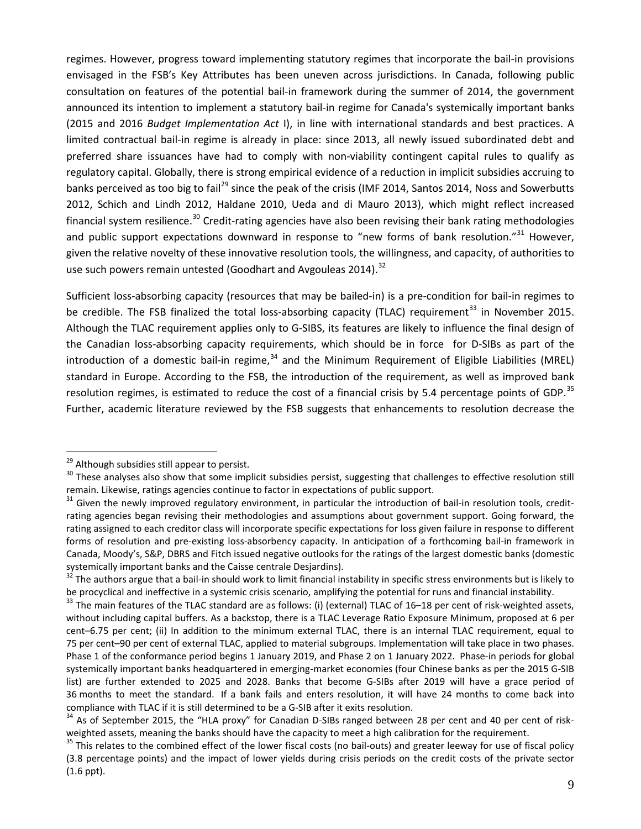regimes. However, progress toward implementing statutory regimes that incorporate the bail-in provisions envisaged in the FSB's Key Attributes has been uneven across jurisdictions. In Canada, following public consultation on features of the potential bail-in framework during the summer of 2014, the government announced its intention to implement a statutory bail-in regime for Canada's systemically important banks (2015 and 2016 *Budget Implementation Act* I), in line with international standards and best practices. A limited contractual bail-in regime is already in place: since 2013, all newly issued subordinated debt and preferred share issuances have had to comply with non-viability contingent capital rules to qualify as regulatory capital. Globally, there is strong empirical evidence of a reduction in implicit subsidies accruing to banks perceived as too big to fail<sup>[29](#page-11-0)</sup> since the peak of the crisis (IMF 2014, Santos 2014, Noss and Sowerbutts 2012, Schich and Lindh 2012, Haldane 2010, Ueda and di Mauro 2013), which might reflect increased financial system resilience.<sup>[30](#page-11-1)</sup> Credit-rating agencies have also been revising their bank rating methodologies and public support expectations downward in response to "new forms of bank resolution."<sup>[31](#page-11-2)</sup> However, given the relative novelty of these innovative resolution tools, the willingness, and capacity, of authorities to use such powers remain untested (Goodhart and Avgouleas 2014).<sup>[32](#page-11-3)</sup>

Sufficient loss-absorbing capacity (resources that may be bailed-in) is a pre-condition for bail-in regimes to be credible. The FSB finalized the total loss-absorbing capacity (TLAC) requirement<sup>[33](#page-11-4)</sup> in November 2015. Although the TLAC requirement applies only to G-SIBS, its features are likely to influence the final design of the Canadian loss-absorbing capacity requirements, which should be in force for D-SIBs as part of the introduction of a domestic bail-in regime,<sup>[34](#page-11-5)</sup> and the Minimum Requirement of Eligible Liabilities (MREL) standard in Europe. According to the FSB, the introduction of the requirement, as well as improved bank resolution regimes, is estimated to reduce the cost of a financial crisis by 5.4 percentage points of GDP.<sup>[35](#page-11-6)</sup> Further, academic literature reviewed by the FSB suggests that enhancements to resolution decrease the

<span id="page-11-1"></span>

<span id="page-11-0"></span><sup>&</sup>lt;sup>29</sup> Although subsidies still appear to persist.<br><sup>30</sup> These analyses also show that some implicit subsidies persist, suggesting that challenges to effective resolution still remain. Likewise, ratings agencies continue to factor in expectations of public support.<br><sup>31</sup> Given the newly improved regulatory environment, in particular the introduction of bail-in resolution tools, credit-

<span id="page-11-2"></span>rating agencies began revising their methodologies and assumptions about government support. Going forward, the rating assigned to each creditor class will incorporate specific expectations for loss given failure in response to different forms of resolution and pre-existing loss-absorbency capacity. In anticipation of a forthcoming bail-in framework in Canada, Moody's, S&P, DBRS and Fitch issued negative outlooks for the ratings of the largest domestic banks (domestic systemically important banks and the Caisse centrale Desjardins).<br><sup>32</sup> The authors argue that a bail-in should work to limit financial instability in specific stress environments but is likely to

<span id="page-11-3"></span>be procyclical and ineffective in a systemic crisis scenario, amplifying the potential for runs and financial instability.<br><sup>33</sup> The main features of the TLAC standard are as follows: (i) (external) TLAC of 16–18 per cent o

<span id="page-11-4"></span>without including capital buffers. As a backstop, there is a TLAC Leverage Ratio Exposure Minimum, proposed at 6 per cent–6.75 per cent; (ii) In addition to the minimum external TLAC, there is an internal TLAC requirement, equal to 75 per cent–90 per cent of external TLAC, applied to material subgroups. Implementation will take place in two phases. Phase 1 of the conformance period begins 1 January 2019, and Phase 2 on 1 January 2022. Phase-in periods for global systemically important banks headquartered in emerging-market economies (four Chinese banks as per the 2015 G-SIB list) are further extended to 2025 and 2028. Banks that become G-SIBs after 2019 will have a grace period of 36 months to meet the standard. If a bank fails and enters resolution, it will have 24 months to come back into compliance with TLAC if it is still determined to be a G-SIB after it exits resolution.<br><sup>34</sup> As of September 2015, the "HLA proxy" for Canadian D-SIBs ranged between 28 per cent and 40 per cent of risk-

<span id="page-11-5"></span>weighted assets, meaning the banks should have the capacity to meet a high calibration for the requirement.<br><sup>35</sup> This relates to the combined effect of the lower fiscal costs (no bail-outs) and greater leeway for use of fi

<span id="page-11-6"></span><sup>(3.8</sup> percentage points) and the impact of lower yields during crisis periods on the credit costs of the private sector (1.6 ppt).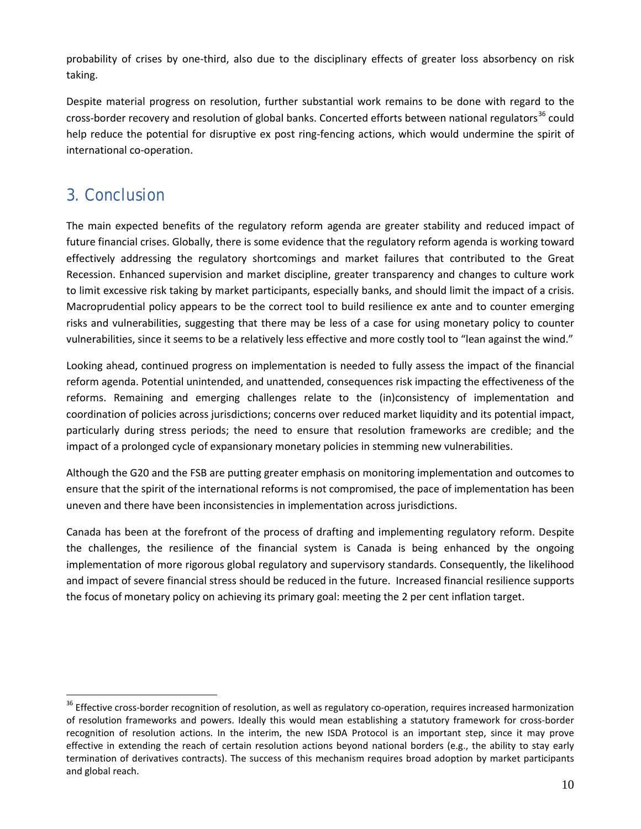probability of crises by one-third, also due to the disciplinary effects of greater loss absorbency on risk taking.

Despite material progress on resolution, further substantial work remains to be done with regard to the cross-border recovery and resolution of global banks. Concerted efforts between national regulators<sup>[36](#page-12-0)</sup> could help reduce the potential for disruptive ex post ring-fencing actions, which would undermine the spirit of international co-operation.

### 3. Conclusion

The main expected benefits of the regulatory reform agenda are greater stability and reduced impact of future financial crises. Globally, there is some evidence that the regulatory reform agenda is working toward effectively addressing the regulatory shortcomings and market failures that contributed to the Great Recession. Enhanced supervision and market discipline, greater transparency and changes to culture work to limit excessive risk taking by market participants, especially banks, and should limit the impact of a crisis. Macroprudential policy appears to be the correct tool to build resilience ex ante and to counter emerging risks and vulnerabilities, suggesting that there may be less of a case for using monetary policy to counter vulnerabilities, since it seems to be a relatively less effective and more costly tool to "lean against the wind."

Looking ahead, continued progress on implementation is needed to fully assess the impact of the financial reform agenda. Potential unintended, and unattended, consequences risk impacting the effectiveness of the reforms. Remaining and emerging challenges relate to the (in)consistency of implementation and coordination of policies across jurisdictions; concerns over reduced market liquidity and its potential impact, particularly during stress periods; the need to ensure that resolution frameworks are credible; and the impact of a prolonged cycle of expansionary monetary policies in stemming new vulnerabilities.

Although the G20 and the FSB are putting greater emphasis on monitoring implementation and outcomes to ensure that the spirit of the international reforms is not compromised, the pace of implementation has been uneven and there have been inconsistencies in implementation across jurisdictions.

Canada has been at the forefront of the process of drafting and implementing regulatory reform. Despite the challenges, the resilience of the financial system is Canada is being enhanced by the ongoing implementation of more rigorous global regulatory and supervisory standards. Consequently, the likelihood and impact of severe financial stress should be reduced in the future. Increased financial resilience supports the focus of monetary policy on achieving its primary goal: meeting the 2 per cent inflation target.

<span id="page-12-0"></span><sup>&</sup>lt;sup>36</sup> Effective cross-border recognition of resolution, as well as regulatory co-operation, requires increased harmonization of resolution frameworks and powers. Ideally this would mean establishing a statutory framework for cross-border recognition of resolution actions. In the interim, the new ISDA Protocol is an important step, since it may prove effective in extending the reach of certain resolution actions beyond national borders (e.g., the ability to stay early termination of derivatives contracts). The success of this mechanism requires broad adoption by market participants and global reach.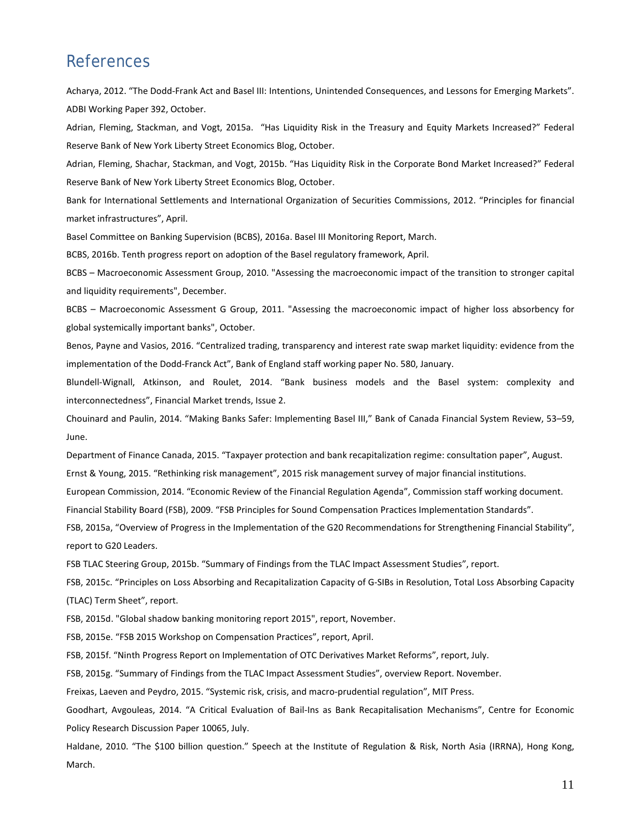### References

Acharya, 2012. "The Dodd-Frank Act and Basel III: Intentions, Unintended Consequences, and Lessons for Emerging Markets". ADBI Working Paper 392, October.

Adrian, Fleming, Stackman, and Vogt, 2015a. ["Has Liquidity Risk in the Treasury and Equity Markets Increased?"](http://libertystreeteconomics.newyorkfed.org/2015/10/has-liquidity-risk-in-the-treasury-and-equity-markets-increased.html) Federal Reserve Bank of New York Liberty Street Economics Blog, October.

Adrian, Fleming, Shachar, Stackman, and Vogt, 2015b. ["Has Liquidity Risk in the Corporate Bond Market Increased?"](http://libertystreeteconomics.newyorkfed.org/2015/10/has-liquidity-risk-in-the-corporate-bond-market-increased.html) Federal Reserve Bank of New York Liberty Street Economics Blog, October.

Bank for International Settlements and International Organization of Securities Commissions, 2012. "Principles for financial market infrastructures", April.

Basel Committee on Banking Supervision (BCBS), 2016a. Basel III Monitoring Report, March.

BCBS, 2016b. Tenth progress report on adoption of the Basel regulatory framework, April.

BCBS – Macroeconomic Assessment Group, 2010. "Assessing the macroeconomic impact of the transition to stronger capital and liquidity requirements", December.

BCBS – Macroeconomic Assessment G Group, 2011. "Assessing the macroeconomic impact of higher loss absorbency for global systemically important banks", October.

Benos, Payne and Vasios, 2016. "Centralized trading, transparency and interest rate swap market liquidity: evidence from the implementation of the Dodd-Franck Act", Bank of England staff working paper No. 580, January.

Blundell-Wignall, Atkinson, and Roulet, 2014. "Bank business models and the Basel system: complexity and interconnectedness", Financial Market trends, Issue 2.

Chouinard and Paulin, 2014. "Making Banks Safer: Implementing Basel III," Bank of Canada Financial System Review, 53–59, June.

Department of Finance Canada, 2015. "Taxpayer protection and bank recapitalization regime: consultation paper", August. Ernst & Young, 2015. "Rethinking risk management", 2015 risk management survey of major financial institutions.

European Commission, 2014. "Economic Review of the Financial Regulation Agenda", Commission staff working document.

Financial Stability Board (FSB), 2009. "FSB Principles for Sound Compensation Practices Implementation Standards".

FSB, 2015a, "Overview of Progress in the Implementation of the G20 Recommendations for Strengthening Financial Stability", report to G20 Leaders.

FSB TLAC Steering Group, 2015b. "Summary of Findings from the TLAC Impact Assessment Studies", report.

FSB, 2015c. "Principles on Loss Absorbing and Recapitalization Capacity of G-SIBs in Resolution, Total Loss Absorbing Capacity (TLAC) Term Sheet", report.

FSB, 2015d. "Global shadow banking monitoring report 2015", report, November.

FSB, 2015e. "FSB 2015 Workshop on Compensation Practices", report, April.

FSB, 2015f. "Ninth Progress Report on Implementation of OTC Derivatives Market Reforms", report, July.

FSB, 2015g. "Summary of Findings from the TLAC Impact Assessment Studies", overview Report. November.

Freixas, Laeven and Peydro, 2015. "Systemic risk, crisis, and macro-prudential regulation", MIT Press.

Goodhart, Avgouleas, 2014. "A Critical Evaluation of Bail-Ins as Bank Recapitalisation Mechanisms", Centre for Economic Policy Research Discussion Paper 10065, July.

Haldane, 2010. "The \$100 billion question." Speech at the Institute of Regulation & Risk, North Asia (IRRNA), Hong Kong, March.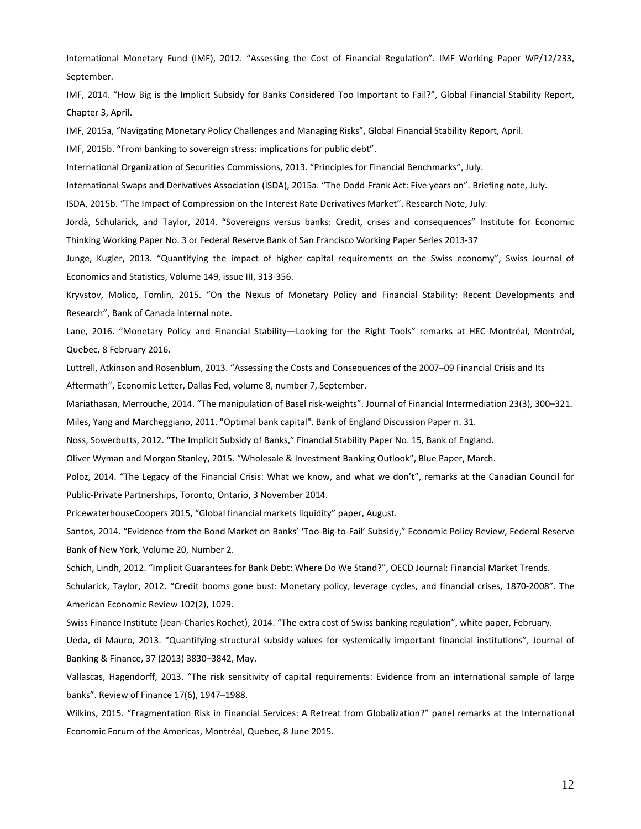International Monetary Fund (IMF), 2012. "Assessing the Cost of Financial Regulation". IMF Working Paper WP/12/233, September.

IMF, 2014. "How Big is the Implicit Subsidy for Banks Considered Too Important to Fail?", Global Financial Stability Report, Chapter 3, April.

IMF, 2015a, "Navigating Monetary Policy Challenges and Managing Risks", Global Financial Stability Report, April.

IMF, 2015b. "From banking to sovereign stress: implications for public debt".

International Organization of Securities Commissions, 2013. "Principles for Financial Benchmarks", July.

International Swaps and Derivatives Association (ISDA), 2015a. "The Dodd-Frank Act: Five years on". Briefing note, July.

ISDA, 2015b. "The Impact of Compression on the Interest Rate Derivatives Market". Research Note, July.

Jordà, Schularick, and Taylor, 2014. "Sovereigns versus banks: Credit, crises and consequences" Institute for Economic Thinking Working Paper No. 3 or Federal Reserve Bank of San Francisco Working Paper Series 2013-37

Junge, Kugler, 2013. "Quantifying the impact of higher capital requirements on the Swiss economy", Swiss Journal of Economics and Statistics, Volume 149, issue III, 313-356.

Kryvstov, Molico, Tomlin, 2015. "On the Nexus of Monetary Policy and Financial Stability: Recent Developments and Research", Bank of Canada internal note.

Lane, 2016. "Monetary Policy and Financial Stability—Looking for the Right Tools" remarks at HEC Montréal, Montréal, Quebec, 8 February 2016.

Luttrell, Atkinson and Rosenblum, 2013. "Assessing the Costs and Consequences of the 2007–09 Financial Crisis and Its Aftermath", Economic Letter, Dallas Fed, volume 8, number 7, September.

Mariathasan, Merrouche, 2014. "The manipulation of Basel risk-weights". Journal of Financial Intermediation 23(3), 300–321. Miles, Yang and Marcheggiano, 2011. "Optimal bank capital". Bank of England Discussion Paper n. 31.

Noss, Sowerbutts, 2012. "The Implicit Subsidy of Banks," Financial Stability Paper No. 15, Bank of England.

Oliver Wyman and Morgan Stanley, 2015. "Wholesale & Investment Banking Outlook", Blue Paper, March.

Poloz, 2014. "The Legacy of the Financial Crisis: What we know, and what we don't", remarks at the Canadian Council for Public-Private Partnerships, Toronto, Ontario, 3 November 2014.

PricewaterhouseCoopers 2015, "Global financial markets liquidity" paper, August.

Santos, 2014. "Evidence from the Bond Market on Banks' 'Too-Big-to-Fail' Subsidy," Economic Policy Review, Federal Reserve Bank of New York, Volume 20, Number 2.

Schich, Lindh, 2012. "Implicit Guarantees for Bank Debt: Where Do We Stand?", OECD Journal: Financial Market Trends.

Schularick, Taylor, 2012. "Credit booms gone bust: Monetary policy, leverage cycles, and financial crises, 1870-2008". The American Economic Review 102(2), 1029.

Swiss Finance Institute (Jean-Charles Rochet), 2014. "The extra cost of Swiss banking regulation", white paper, February.

Ueda, di Mauro, 2013. "Quantifying structural subsidy values for systemically important financial institutions", Journal of Banking & Finance, 37 (2013) 3830–3842, May.

Vallascas, Hagendorff, 2013. "The risk sensitivity of capital requirements: Evidence from an international sample of large banks". Review of Finance 17(6), 1947–1988.

Wilkins, 2015. "Fragmentation Risk in Financial Services: A Retreat from Globalization?" panel remarks at the International Economic Forum of the Americas, Montréal, Quebec, 8 June 2015.